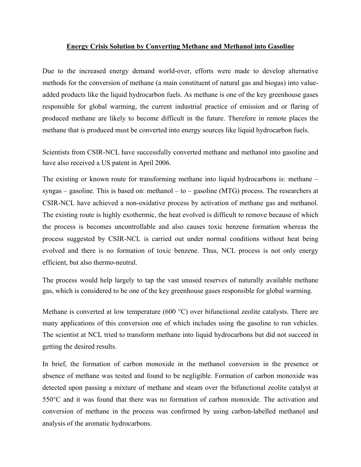## **Energy Crisis Solution by Converting Methane and Methanol into Gasoline**

Due to the increased energy demand world-over, efforts were made to develop alternative methods for the conversion of methane (a main constituent of natural gas and biogas) into valueadded products like the liquid hydrocarbon fuels. As methane is one of the key greenhouse gases responsible for global warming, the current industrial practice of emission and or flaring of produced methane are likely to become difficult in the future. Therefore in remote places the methane that is produced must be converted into energy sources like liquid hydrocarbon fuels.

Scientists from CSIR-NCL have successfully converted methane and methanol into gasoline and have also received a US patent in April 2006.

The existing or known route for transforming methane into liquid hydrocarbons is: methane – syngas – gasoline. This is based on: methanol – to – gasoline (MTG) process. The researchers at CSIR-NCL have achieved a non-oxidative process by activation of methane gas and methanol. The existing route is highly exothermic, the heat evolved is difficult to remove because of which the process is becomes uncontrollable and also causes toxic benzene formation whereas the process suggested by CSIR-NCL is carried out under normal conditions without heat being evolved and there is no formation of toxic benzene. Thus, NCL process is not only energy efficient, but also thermo-neutral.

The process would help largely to tap the vast unused reserves of naturally available methane gas, which is considered to be one of the key greenhouse gases responsible for global warming.

Methane is converted at low temperature (600 °C) over bifunctional zeolite catalysts. There are many applications of this conversion one of which includes using the gasoline to run vehicles. The scientist at NCL tried to transform methane into liquid hydrocarbons but did not succeed in getting the desired results.

In brief, the formation of carbon monoxide in the methanol conversion in the presence or absence of methane was tested and found to be negligible. Formation of carbon monoxide was detected upon passing a mixture of methane and steam over the bifunctional zeolite catalyst at 550°C and it was found that there was no formation of carbon monoxide. The activation and conversion of methane in the process was confirmed by using carbon-labelled methanol and analysis of the aromatic hydrocarbons.